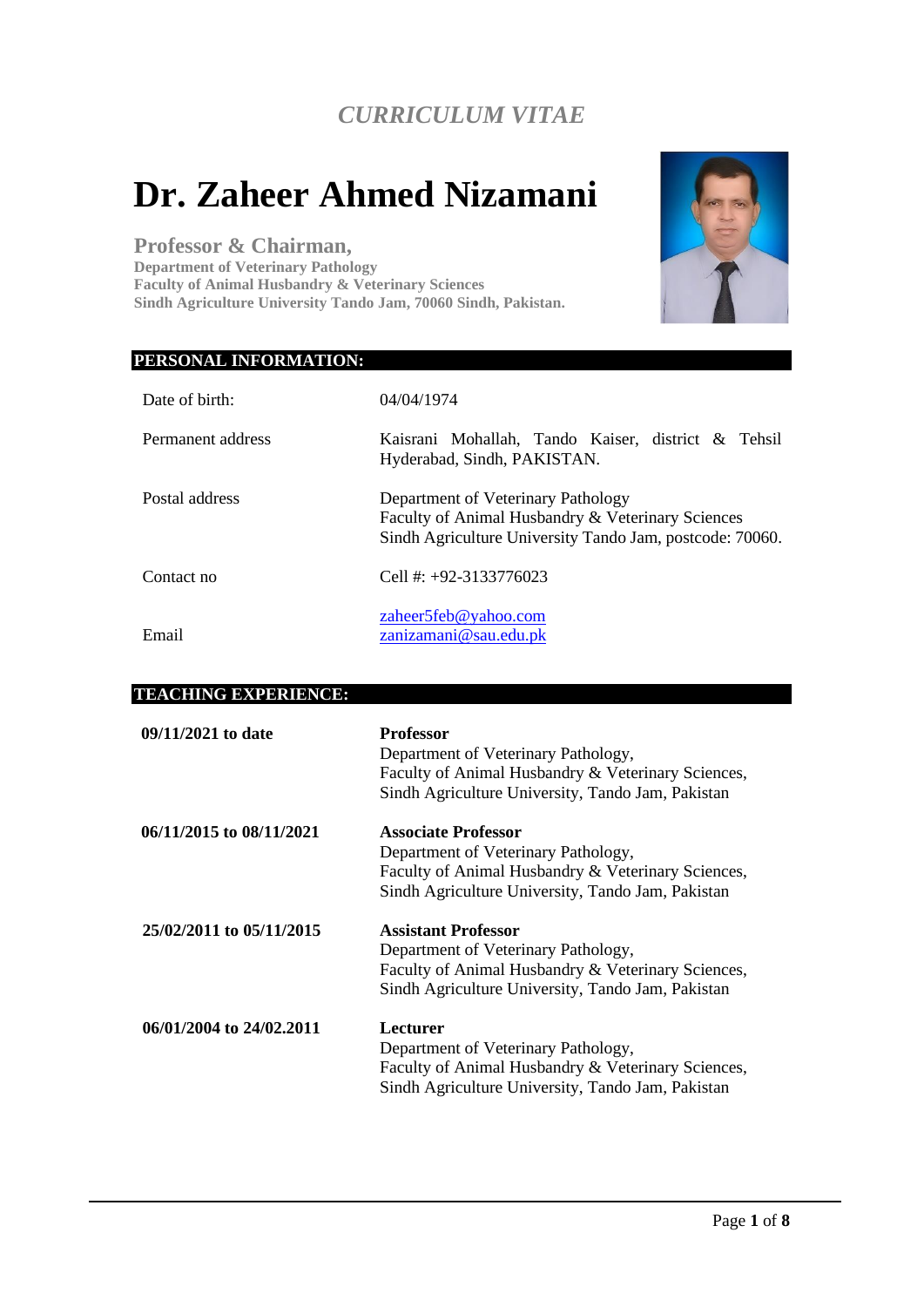# **Dr. Zaheer Ahmed Nizamani**

**Professor & Chairman, Department of Veterinary Pathology Faculty of Animal Husbandry & Veterinary Sciences Sindh Agriculture University Tando Jam, 70060 Sindh, Pakistan.**



## **PERSONAL INFORMATION:**

| Date of birth:    | 04/04/1974                                                                                                                                          |  |  |  |  |  |
|-------------------|-----------------------------------------------------------------------------------------------------------------------------------------------------|--|--|--|--|--|
| Permanent address | Kaisrani Mohallah, Tando Kaiser, district & Tehsil<br>Hyderabad, Sindh, PAKISTAN.                                                                   |  |  |  |  |  |
| Postal address    | Department of Veterinary Pathology<br>Faculty of Animal Husbandry & Veterinary Sciences<br>Sindh Agriculture University Tando Jam, postcode: 70060. |  |  |  |  |  |
| Contact no        | Cell #: $+92-3133776023$                                                                                                                            |  |  |  |  |  |
| Email             | zaheer5feb@yahoo.com<br>zanizamani@sau.edu.pk                                                                                                       |  |  |  |  |  |

#### **TEACHING EXPERIENCE:**

| 09/11/2021 to date       | <b>Professor</b><br>Department of Veterinary Pathology,<br>Faculty of Animal Husbandry & Veterinary Sciences,<br>Sindh Agriculture University, Tando Jam, Pakistan           |
|--------------------------|------------------------------------------------------------------------------------------------------------------------------------------------------------------------------|
| 06/11/2015 to 08/11/2021 | <b>Associate Professor</b><br>Department of Veterinary Pathology,<br>Faculty of Animal Husbandry & Veterinary Sciences,<br>Sindh Agriculture University, Tando Jam, Pakistan |
| 25/02/2011 to 05/11/2015 | <b>Assistant Professor</b><br>Department of Veterinary Pathology,<br>Faculty of Animal Husbandry & Veterinary Sciences,<br>Sindh Agriculture University, Tando Jam, Pakistan |
| 06/01/2004 to 24/02.2011 | Lecturer<br>Department of Veterinary Pathology,<br>Faculty of Animal Husbandry & Veterinary Sciences,<br>Sindh Agriculture University, Tando Jam, Pakistan                   |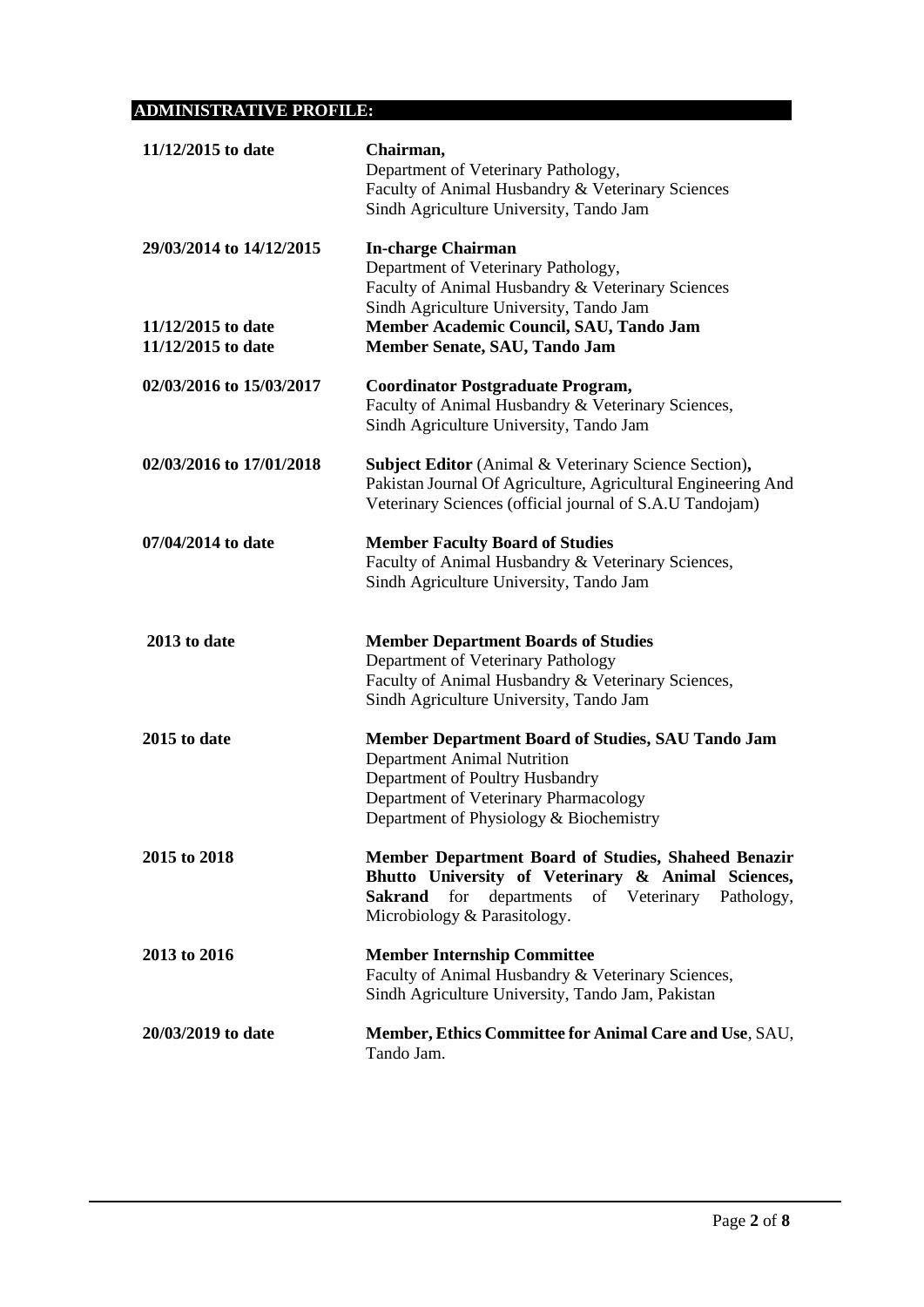# **ADMINISTRATIVE PROFILE:**

| 11/12/2015 to date                       | Chairman,<br>Department of Veterinary Pathology,<br>Faculty of Animal Husbandry & Veterinary Sciences<br>Sindh Agriculture University, Tando Jam                                                                 |
|------------------------------------------|------------------------------------------------------------------------------------------------------------------------------------------------------------------------------------------------------------------|
| 29/03/2014 to 14/12/2015                 | <b>In-charge Chairman</b><br>Department of Veterinary Pathology,<br>Faculty of Animal Husbandry & Veterinary Sciences<br>Sindh Agriculture University, Tando Jam                                                 |
| 11/12/2015 to date<br>11/12/2015 to date | Member Academic Council, SAU, Tando Jam<br>Member Senate, SAU, Tando Jam                                                                                                                                         |
| 02/03/2016 to 15/03/2017                 | <b>Coordinator Postgraduate Program,</b><br>Faculty of Animal Husbandry & Veterinary Sciences,<br>Sindh Agriculture University, Tando Jam                                                                        |
| 02/03/2016 to 17/01/2018                 | Subject Editor (Animal & Veterinary Science Section),<br>Pakistan Journal Of Agriculture, Agricultural Engineering And<br>Veterinary Sciences (official journal of S.A.U Tandojam)                               |
| 07/04/2014 to date                       | <b>Member Faculty Board of Studies</b><br>Faculty of Animal Husbandry & Veterinary Sciences,<br>Sindh Agriculture University, Tando Jam                                                                          |
| 2013 to date                             | <b>Member Department Boards of Studies</b><br>Department of Veterinary Pathology<br>Faculty of Animal Husbandry & Veterinary Sciences,<br>Sindh Agriculture University, Tando Jam                                |
| 2015 to date                             | Member Department Board of Studies, SAU Tando Jam<br><b>Department Animal Nutrition</b><br>Department of Poultry Husbandry<br>Department of Veterinary Pharmacology<br>Department of Physiology & Biochemistry   |
| 2015 to 2018                             | Member Department Board of Studies, Shaheed Benazir<br>Bhutto University of Veterinary & Animal Sciences,<br>departments<br><b>Sakrand</b><br>for<br>of Veterinary<br>Pathology,<br>Microbiology & Parasitology. |
| 2013 to 2016                             | <b>Member Internship Committee</b><br>Faculty of Animal Husbandry & Veterinary Sciences,<br>Sindh Agriculture University, Tando Jam, Pakistan                                                                    |
| 20/03/2019 to date                       | Member, Ethics Committee for Animal Care and Use, SAU,<br>Tando Jam.                                                                                                                                             |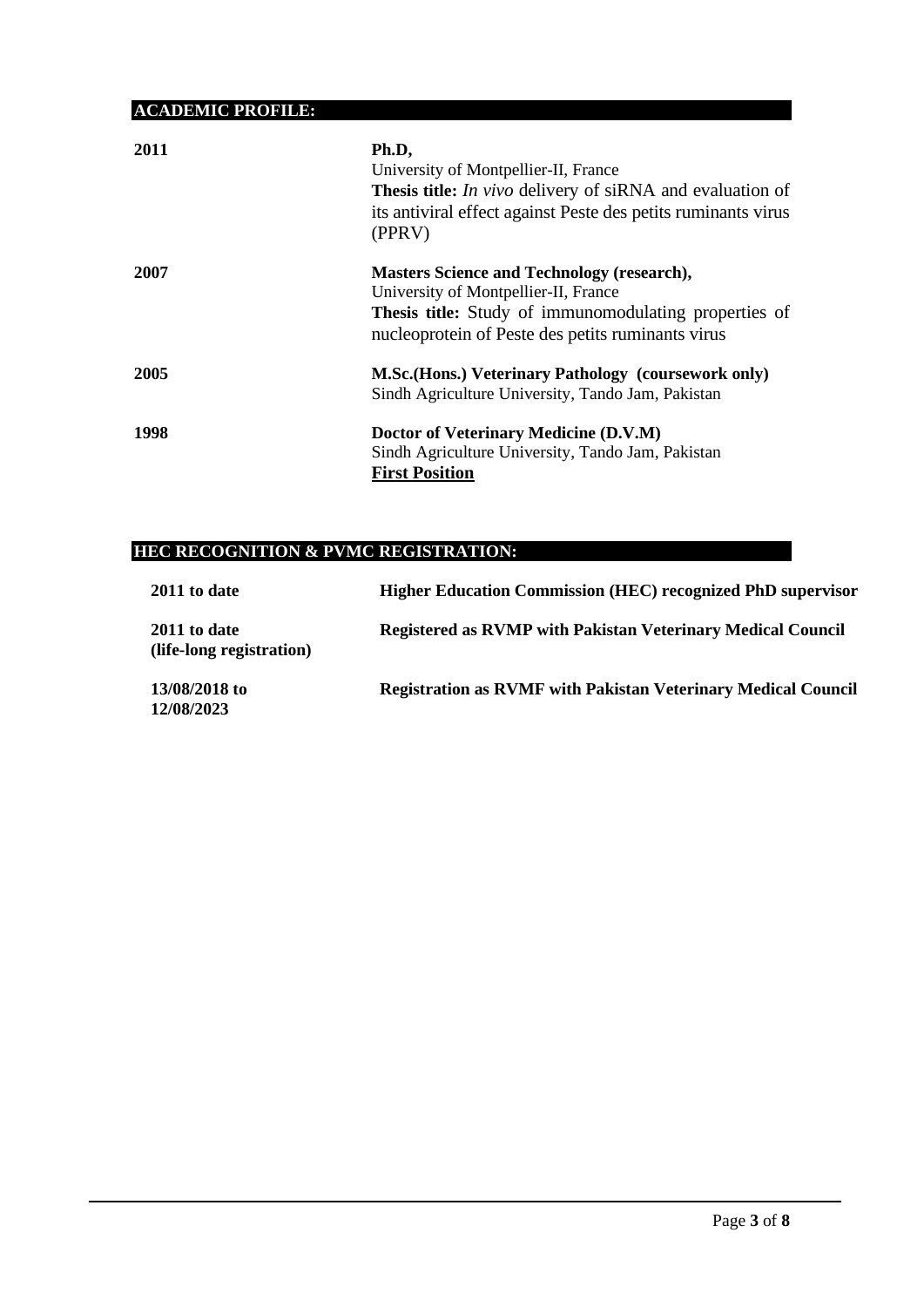# **ACADEMIC PROFILE:**

| 2011 | Ph.D,<br>University of Montpellier-II, France<br><b>Thesis title:</b> In vivo delivery of siRNA and evaluation of<br>its antiviral effect against Peste des petits ruminants virus<br>(PPRV)                   |
|------|----------------------------------------------------------------------------------------------------------------------------------------------------------------------------------------------------------------|
| 2007 | <b>Masters Science and Technology (research),</b><br>University of Montpellier-II, France<br><b>Thesis title:</b> Study of immunomodulating properties of<br>nucleoprotein of Peste des petits ruminants virus |
| 2005 | <b>M.Sc.</b> (Hons.) Veterinary Pathology (coursework only)<br>Sindh Agriculture University, Tando Jam, Pakistan                                                                                               |
| 1998 | Doctor of Veterinary Medicine (D.V.M)<br>Sindh Agriculture University, Tando Jam, Pakistan<br><b>First Position</b>                                                                                            |

## **HEC RECOGNITION & PVMC REGISTRATION:**

| 2011 to date                             | <b>Higher Education Commission (HEC) recognized PhD supervisor</b>   |
|------------------------------------------|----------------------------------------------------------------------|
| 2011 to date<br>(life-long registration) | <b>Registered as RVMP with Pakistan Veterinary Medical Council</b>   |
| 13/08/2018 to<br>12/08/2023              | <b>Registration as RVMF with Pakistan Veterinary Medical Council</b> |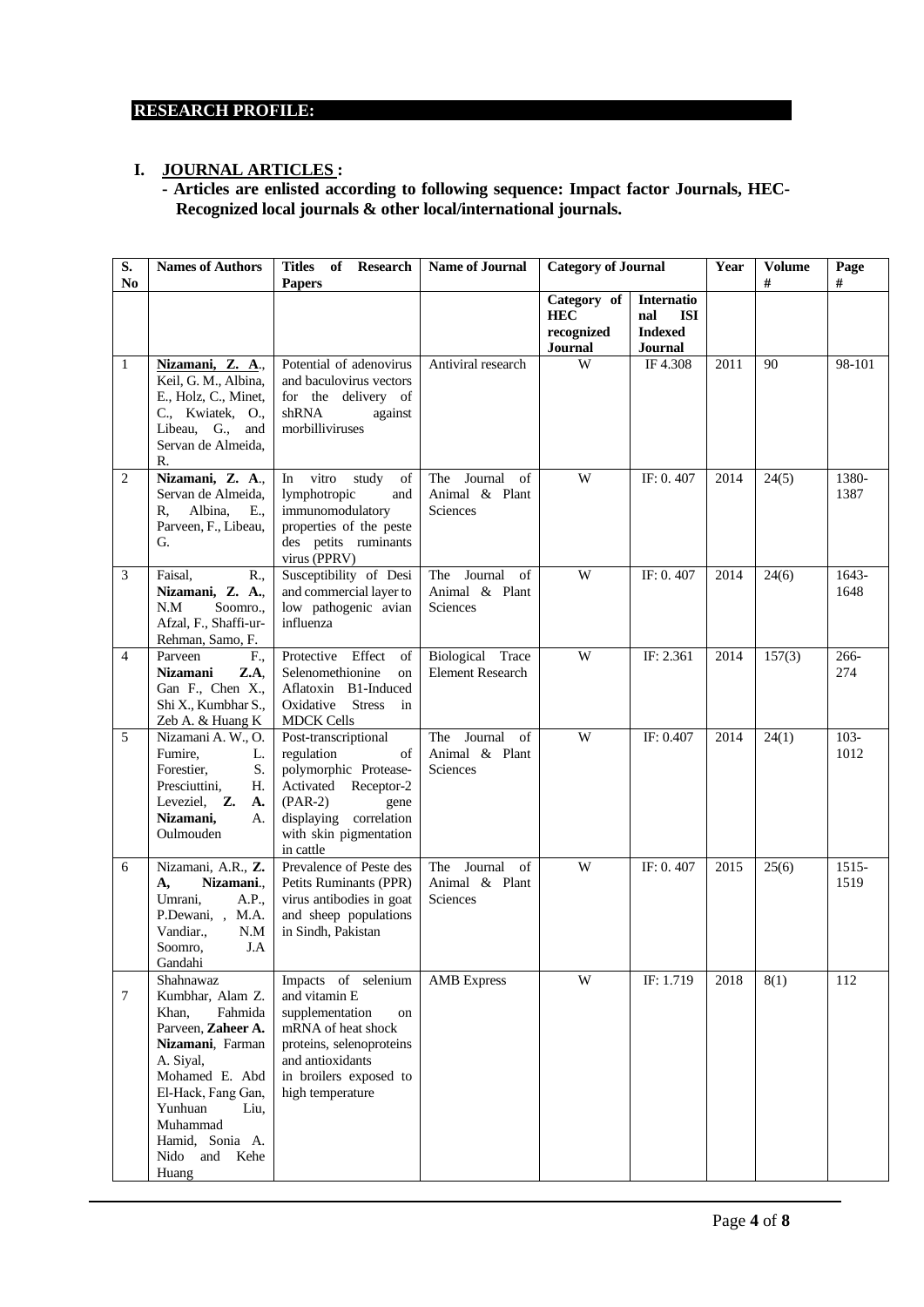## **RESEARCH PROFILE:**

#### **I. JOURNAL ARTICLES :**

#### **- Articles are enlisted according to following sequence: Impact factor Journals, HEC-Recognized local journals & other local/international journals.**

| S.<br>N <sub>0</sub> | <b>Names of Authors</b>                                                                                                                                                                                                      | Titles of Research<br><b>Papers</b>                                                                                                                                               | <b>Name of Journal</b>                             | <b>Category of Journal</b>                         |                                                              | Year | <b>Volume</b><br># | Page<br>$\#$     |
|----------------------|------------------------------------------------------------------------------------------------------------------------------------------------------------------------------------------------------------------------------|-----------------------------------------------------------------------------------------------------------------------------------------------------------------------------------|----------------------------------------------------|----------------------------------------------------|--------------------------------------------------------------|------|--------------------|------------------|
|                      |                                                                                                                                                                                                                              |                                                                                                                                                                                   |                                                    | Category of<br><b>HEC</b><br>recognized<br>Journal | Internatio<br>nal<br><b>ISI</b><br><b>Indexed</b><br>Journal |      |                    |                  |
| $\mathbf{1}$         | Nizamani, Z. A.,<br>Keil, G. M., Albina,<br>E., Holz, C., Minet,<br>C., Kwiatek, O.,<br>Libeau, G.,<br>and<br>Servan de Almeida.<br>R.                                                                                       | Potential of adenovirus<br>and baculovirus vectors<br>for the delivery of<br>shRNA<br>against<br>morbilliviruses                                                                  | Antiviral research                                 | W                                                  | IF 4.308                                                     | 2011 | 90                 | 98-101           |
| 2                    | Nizamani, Z. A.,<br>Servan de Almeida,<br>Albina,<br>R.<br>E.,<br>Parveen, F., Libeau,<br>G.                                                                                                                                 | vitro<br>study<br>of<br>In<br>lymphotropic<br>and<br>immunomodulatory<br>properties of the peste<br>des petits ruminants<br>virus (PPRV)                                          | Journal<br>The<br>of<br>Animal & Plant<br>Sciences | W                                                  | IF: 0.407                                                    | 2014 | 24(5)              | 1380-<br>1387    |
| 3                    | R.,<br>Faisal,<br>Nizamani, Z. A.,<br>N.M<br>Soomro.,<br>Afzal, F., Shaffi-ur-<br>Rehman, Samo, F.                                                                                                                           | Susceptibility of Desi<br>and commercial layer to<br>low pathogenic avian<br>influenza                                                                                            | The Journal<br>of<br>Animal & Plant<br>Sciences    | W                                                  | IF: 0.407                                                    | 2014 | 24(6)              | 1643-<br>1648    |
| $\overline{4}$       | Parveen<br>F.,<br><b>Nizamani</b><br><b>Z.A.</b><br>Gan F., Chen X.,<br>Shi X., Kumbhar S.,<br>Zeb A. & Huang K                                                                                                              | Protective Effect<br>of<br>Selenomethionine<br>on<br>Aflatoxin B1-Induced<br>Oxidative<br><b>Stress</b><br>in<br><b>MDCK Cells</b>                                                | Biological Trace<br><b>Element Research</b>        | W                                                  | IF: 2.361                                                    | 2014 | 157(3)             | 266-<br>274      |
| 5                    | Nizamani A. W., O.<br>Fumire,<br>L.<br>Forestier,<br>S.<br>Presciuttini,<br>Н.<br>Leveziel, Z.<br>A.<br>Nizamani,<br>A.<br>Oulmouden                                                                                         | Post-transcriptional<br>regulation<br>of<br>polymorphic Protease-<br>Activated Receptor-2<br>$(PAR-2)$<br>gene<br>displaying correlation<br>with skin pigmentation<br>in cattle   | Journal<br>The<br>of<br>Animal & Plant<br>Sciences | W                                                  | IF: 0.407                                                    | 2014 | 24(1)              | $103 -$<br>1012  |
| 6                    | Nizamani, A.R., Z.<br>Nizamani.,<br>A,<br>Umrani,<br>A.P.,<br>P.Dewani, , M.A.<br>N.M<br>Vandiar.,<br>Soomro,<br>J.A<br>Gandahi                                                                                              | Prevalence of Peste des<br>Petits Ruminants (PPR)<br>virus antibodies in goat<br>and sheep populations<br>in Sindh, Pakistan                                                      | Journal<br>of<br>The<br>Animal & Plant<br>Sciences | W                                                  | IF: 0.407                                                    | 2015 | 25(6)              | $1515 -$<br>1519 |
| 7                    | Shahnawaz<br>Kumbhar, Alam Z.<br>Fahmida<br>Khan.<br>Parveen, Zaheer A.<br>Nizamani, Farman<br>A. Siyal,<br>Mohamed E. Abd<br>El-Hack, Fang Gan,<br>Yunhuan<br>Liu,<br>Muhammad<br>Hamid, Sonia A.<br>Nido and Kehe<br>Huang | Impacts of selenium<br>and vitamin E<br>supplementation<br>on<br>mRNA of heat shock<br>proteins, selenoproteins<br>and antioxidants<br>in broilers exposed to<br>high temperature | <b>AMB</b> Express                                 | W                                                  | IF: 1.719                                                    | 2018 | 8(1)               | 112              |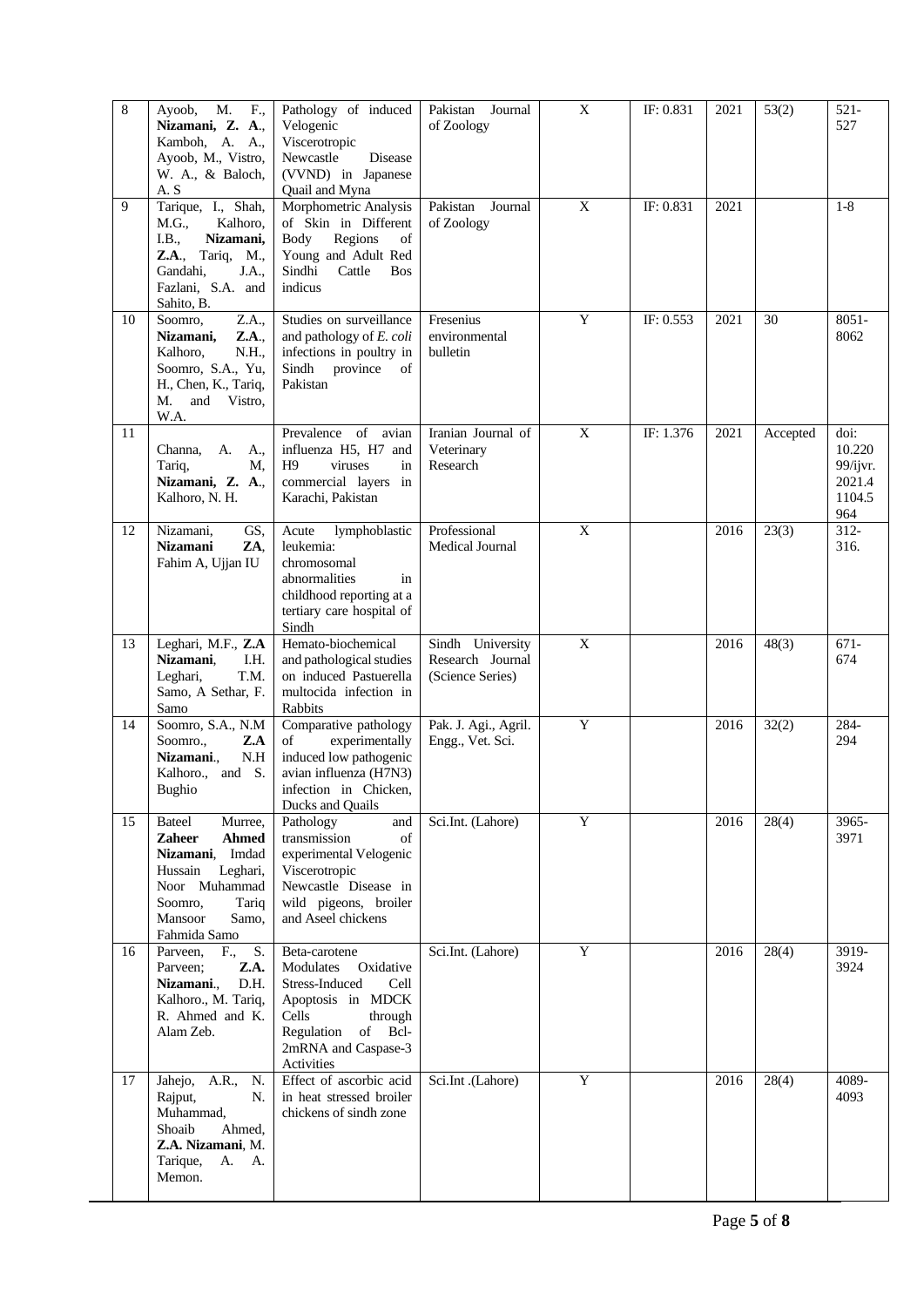| 8  | M.<br>F.,<br>Ayoob,<br>Nizamani, Z. A.,<br>Kamboh, A.<br>A.,<br>Ayoob, M., Vistro,<br>W. A., & Baloch,<br>A.S                                                  | Pathology of induced<br>Velogenic<br>Viscerotropic<br>Newcastle<br>Disease<br>(VVND) in Japanese<br>Quail and Myna                                                    | Pakistan Journal<br>of Zoology                           | X              | IF: 0.831 | 2021 | 53(2)    | $521 -$<br>527                                        |
|----|----------------------------------------------------------------------------------------------------------------------------------------------------------------|-----------------------------------------------------------------------------------------------------------------------------------------------------------------------|----------------------------------------------------------|----------------|-----------|------|----------|-------------------------------------------------------|
| 9  | Tarique, I., Shah,<br>M.G.,<br>Kalhoro,<br>I.B.,<br>Nizamani,<br><b>Z.A.,</b><br>Tariq, M.,<br>Gandahi,<br>J.A.,<br>Fazlani, S.A. and<br>Sahito, B.            | Morphometric Analysis<br>of Skin in Different<br>Body<br>Regions<br>of<br>Young and Adult Red<br>Cattle<br>Sindhi<br><b>Bos</b><br>indicus                            | Pakistan Journal<br>of Zoology                           | $\mathbf X$    | IF: 0.831 | 2021 |          | $1-8$                                                 |
| 10 | Z.A.,<br>Soomro,<br>Nizamani,<br>Z.A.,<br>N.H.,<br>Kalhoro,<br>Soomro, S.A., Yu,<br>H., Chen, K., Tariq,<br>and Vistro,<br>М.<br>W.A.                          | Studies on surveillance<br>and pathology of E. coli<br>infections in poultry in<br>Sindh province<br>of<br>Pakistan                                                   | Fresenius<br>environmental<br>bulletin                   | $\mathbf Y$    | IF: 0.553 | 2021 | 30       | $8051 -$<br>8062                                      |
| 11 | Channa,<br>A.<br>A.,<br>Tariq,<br>M,<br>Nizamani, Z. A.,<br>Kalhoro, N. H.                                                                                     | Prevalence of avian<br>influenza H5, H7 and<br>H9<br>viruses<br>in<br>commercial layers in<br>Karachi, Pakistan                                                       | Iranian Journal of<br>Veterinary<br>Research             | X              | IF: 1.376 | 2021 | Accepted | doi:<br>10.220<br>99/ijvr.<br>2021.4<br>1104.5<br>964 |
| 12 | Nizamani,<br>GS,<br>Nizamani<br>ZA.<br>Fahim A, Ujjan IU                                                                                                       | lymphoblastic<br>Acute<br>leukemia:<br>chromosomal<br>abnormalities<br>in<br>childhood reporting at a<br>tertiary care hospital of<br>Sindh                           | Professional<br>Medical Journal                          | $\mathbf X$    |           | 2016 | 23(3)    | $312 -$<br>316.                                       |
| 13 | Leghari, M.F., Z.A<br>Nizamani,<br>I.H.<br>Leghari,<br>T.M.<br>Samo, A Sethar, F.<br>Samo                                                                      | Hemato-biochemical<br>and pathological studies<br>on induced Pastuerella<br>multocida infection in<br>Rabbits                                                         | Sindh University<br>Research Journal<br>(Science Series) | $\mathbf X$    |           | 2016 | 48(3)    | $671 -$<br>674                                        |
| 14 | Soomro, S.A., N.M<br>Z.A<br>Soomro.,<br>Nizamani.,<br>N.H<br>Kalhoro., and S.<br>Bughio                                                                        | Comparative pathology<br>experimentally<br>of<br>induced low pathogenic<br>avian influenza (H7N3)<br>infection in Chicken.<br>Ducks and Quails                        | Pak. J. Agi., Agril.<br>Engg., Vet. Sci.                 | $\overline{Y}$ |           | 2016 | 32(2)    | 284-<br>294                                           |
| 15 | Murree,<br>Bateel<br><b>Zaheer</b><br>Ahmed<br>Nizamani, Imdad<br>Leghari,<br>Hussain<br>Noor Muhammad<br>Soomro,<br>Tariq<br>Mansoor<br>Samo,<br>Fahmida Samo | Pathology<br>and<br>transmission<br>of<br>experimental Velogenic<br>Viscerotropic<br>Newcastle Disease in<br>wild pigeons, broiler<br>and Aseel chickens              | Sci.Int. (Lahore)                                        | Y              |           | 2016 | 28(4)    | 3965-<br>3971                                         |
| 16 | S.<br>Parveen,<br>F.,<br>Parveen:<br>Z.A.<br>Nizamani<br>D.H.<br>Kalhoro., M. Tariq,<br>R. Ahmed and K.<br>Alam Zeb.                                           | Beta-carotene<br>Modulates<br>Oxidative<br>Stress-Induced<br>Cell<br>Apoptosis in MDCK<br>Cells<br>through<br>Regulation of Bcl-<br>2mRNA and Caspase-3<br>Activities | Sci.Int. (Lahore)                                        | Y              |           | 2016 | 28(4)    | 3919-<br>3924                                         |
| 17 | Jahejo, A.R., N.<br>Rajput,<br>N.<br>Muhammad,<br>Ahmed,<br>Shoaib<br>Z.A. Nizamani, M.<br>Tarique,<br>A. A.<br>Memon.                                         | Effect of ascorbic acid<br>in heat stressed broiler<br>chickens of sindh zone                                                                                         | Sci.Int.(Lahore)                                         | Y              |           | 2016 | 28(4)    | 4089-<br>4093                                         |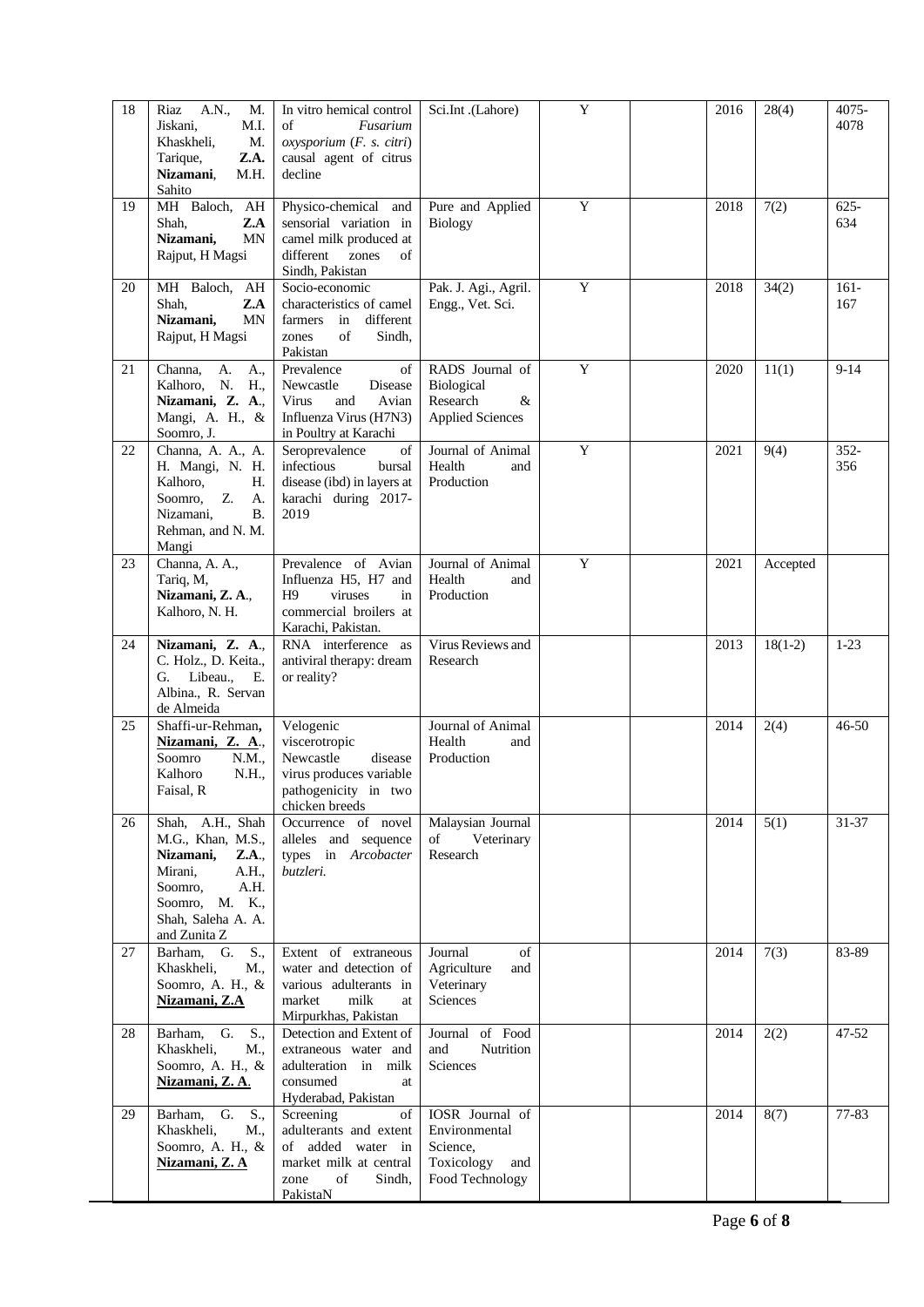| 18 | A.N.,<br>Riaz<br>M.<br>Jiskani.<br>M.I.<br>M.<br>Khaskheli,<br>Z.A.<br>Tarique,<br>Nizamani.<br>M.H.<br>Sahito                                                    | In vitro hemical control<br>of<br>Fusarium<br>oxysporium (F. s. citri)<br>causal agent of citrus<br>decline                  | Sci.Int.(Lahore)                                                                  | Y              | 2016 | 28(4)     | 4075-<br>4078  |
|----|-------------------------------------------------------------------------------------------------------------------------------------------------------------------|------------------------------------------------------------------------------------------------------------------------------|-----------------------------------------------------------------------------------|----------------|------|-----------|----------------|
| 19 | MH Baloch,<br>AH<br>Z.A<br>Shah,<br>Nizamani,<br>MN<br>Rajput, H Magsi                                                                                            | Physico-chemical and<br>sensorial variation in<br>camel milk produced at<br>different<br>zones<br>of<br>Sindh, Pakistan      | Pure and Applied<br><b>Biology</b>                                                | Y              | 2018 | 7(2)      | $625 -$<br>634 |
| 20 | MH Baloch,<br>AH<br>Shah.<br>Z.A<br>Nizamani,<br>MN<br>Rajput, H Magsi                                                                                            | Socio-economic<br>characteristics of camel<br>farmers in<br>different<br>of<br>Sindh,<br>zones<br>Pakistan                   | Pak. J. Agi., Agril.<br>Engg., Vet. Sci.                                          | $\overline{Y}$ | 2018 | 34(2)     | $161 -$<br>167 |
| 21 | Channa,<br>A.<br>A.,<br>Kalhoro, N.<br>H.,<br>Nizamani, Z. A.,<br>Mangi, A. H., &<br>Soomro, J.                                                                   | Prevalence<br>of<br>Newcastle<br>Disease<br>Virus<br>and<br>Avian<br>Influenza Virus (H7N3)<br>in Poultry at Karachi         | RADS Journal of<br>Biological<br>Research<br>$\&$<br><b>Applied Sciences</b>      | Y              | 2020 | 11(1)     | $9 - 14$       |
| 22 | Channa, A. A., A.<br>H. Mangi, N. H.<br>Kalhoro,<br>Н.<br>Soomro.<br>Z.<br>A.<br><b>B.</b><br>Nizamani,<br>Rehman, and N. M.<br>Mangi                             | Seroprevalence<br>of<br>infectious<br>bursal<br>disease (ibd) in layers at<br>karachi during 2017-<br>2019                   | Journal of Animal<br>Health<br>and<br>Production                                  | $\overline{Y}$ | 2021 | 9(4)      | $352 -$<br>356 |
| 23 | Channa, A. A.,<br>Tariq, M,<br>Nizamani, Z.A.,<br>Kalhoro, N. H.                                                                                                  | Prevalence of Avian<br>Influenza H5, H7 and<br>H9<br>viruses<br>in<br>commercial broilers at<br>Karachi, Pakistan.           | Journal of Animal<br>Health<br>and<br>Production                                  | $\mathbf Y$    | 2021 | Accepted  |                |
| 24 | Nizamani, Z. A.,<br>C. Holz., D. Keita.,<br>Libeau.,<br>Е.<br>G.<br>Albina., R. Servan<br>de Almeida                                                              | RNA interference as<br>antiviral therapy: dream<br>or reality?                                                               | Virus Reviews and<br>Research                                                     |                | 2013 | $18(1-2)$ | $1-23$         |
| 25 | Shaffi-ur-Rehman,<br>Nizamani, Z. A.,<br>Soomro<br>N.M.,<br>Kalhoro<br>N.H.,<br>Faisal, R                                                                         | Velogenic<br>viscerotropic<br>Newcastle<br>disease<br>virus produces variable<br>pathogenicity in two<br>chicken breeds      | Journal of Animal<br>Health<br>and<br>Production                                  |                | 2014 | 2(4)      | 46-50          |
| 26 | Shah, A.H., Shah<br>M.G., Khan, M.S.,<br>Nizamani,<br><b>Z.A.,</b><br>Mirani,<br>A.H.,<br>Soomro,<br>A.H.<br>Soomro, M. K.,<br>Shah, Saleha A. A.<br>and Zunita Z | Occurrence of novel<br>alleles and sequence<br>types in Arcobacter<br>butzleri.                                              | Malaysian Journal<br>of<br>Veterinary<br>Research                                 |                | 2014 | 5(1)      | 31-37          |
| 27 | Barham, G. S.,<br>Khaskheli,<br>M.,<br>Soomro, A. H., &<br>Nizamani, Z.A                                                                                          | Extent of extraneous<br>water and detection of<br>various adulterants in<br>market<br>milk<br>at<br>Mirpurkhas, Pakistan     | Journal<br>of<br>Agriculture<br>and<br>Veterinary<br>Sciences                     |                | 2014 | 7(3)      | 83-89          |
| 28 | Barham, G. S.,<br>Khaskheli,<br>M.,<br>Soomro, A. H., &<br>Nizamani, Z.A.                                                                                         | Detection and Extent of<br>extraneous water and<br>adulteration in milk<br>consumed<br>at<br>Hyderabad, Pakistan             | Journal of Food<br>Nutrition<br>and<br>Sciences                                   |                | 2014 | 2(2)      | 47-52          |
| 29 | Barham, G. S.,<br>Khaskheli,<br>M.,<br>Soomro, A. H., &<br>Nizamani, Z.A.                                                                                         | Screening<br>of<br>adulterants and extent<br>of added water in<br>market milk at central<br>zone<br>of<br>Sindh,<br>PakistaN | IOSR Journal of<br>Environmental<br>Science,<br>Toxicology and<br>Food Technology |                | 2014 | 8(7)      | 77-83          |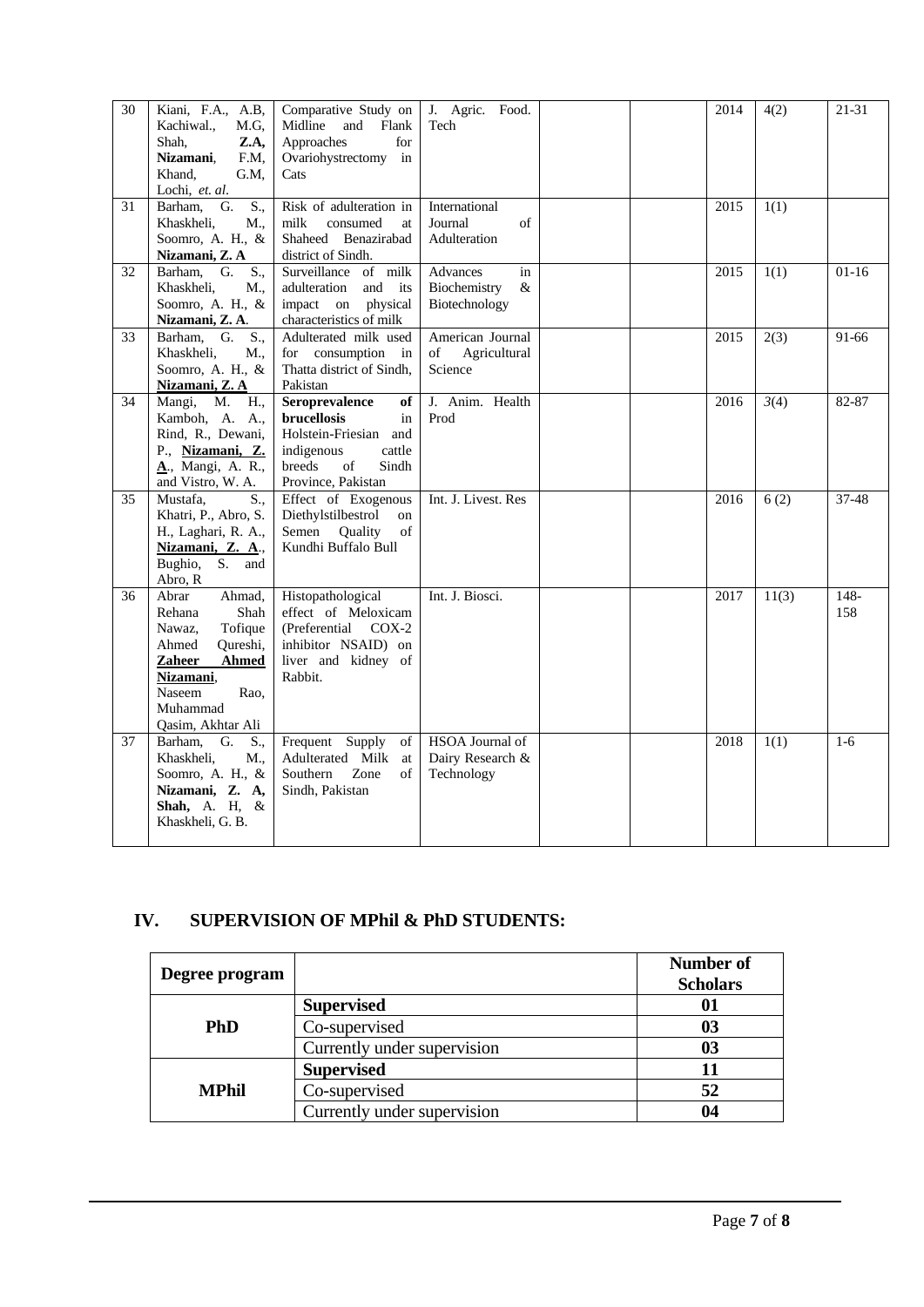| 30 | Kiani, F.A., A.B,<br>Kachiwal.,<br>M.G,<br>Shah,<br>Z.A,<br>Nizamani.<br>F.M,<br>Khand,<br>G.M.<br>Lochi, et. al.                                                            | Comparative Study on<br>Midline<br>and<br>Flank<br>Approaches<br>for<br>Ovariohystrectomy in<br>Cats                                             | J. Agric. Food.<br>Tech                              |  | 2014 | 4(2)  | 21-31          |
|----|------------------------------------------------------------------------------------------------------------------------------------------------------------------------------|--------------------------------------------------------------------------------------------------------------------------------------------------|------------------------------------------------------|--|------|-------|----------------|
| 31 | Barham,<br>S.,<br>G.<br>Khaskheli,<br>M.,<br>Soomro, A. H., &<br>Nizamani, Z. A                                                                                              | Risk of adulteration in<br>milk<br>consumed<br>at<br>Shaheed Benazirabad<br>district of Sindh.                                                   | International<br>Journal<br>of<br>Adulteration       |  | 2015 | 1(1)  |                |
| 32 | S.,<br>Barham,<br>G.<br>Khaskheli,<br>M.,<br>Soomro, A. H., &<br>Nizamani, Z.A.                                                                                              | Surveillance of milk<br>adulteration<br>and its<br>impact on physical<br>characteristics of milk                                                 | Advances<br>in<br>Biochemistry<br>&<br>Biotechnology |  | 2015 | 1(1)  | $01-16$        |
| 33 | G.<br>Barham,<br>S.,<br>Khaskheli,<br>M.,<br>Soomro, A. H., &<br>Nizamani, Z. A                                                                                              | Adulterated milk used<br>for consumption in<br>Thatta district of Sindh,<br>Pakistan                                                             | American Journal<br>Agricultural<br>of<br>Science    |  | 2015 | 2(3)  | 91-66          |
| 34 | Mangi, M. H.,<br>Kamboh, A. A.,<br>Rind, R., Dewani,<br>P., Nizamani, Z.<br>A., Mangi, A. R.,<br>and Vistro, W. A.                                                           | Seroprevalence<br>of<br><b>brucellosis</b><br>in<br>Holstein-Friesian and<br>indigenous<br>cattle<br>breeds<br>of<br>Sindh<br>Province, Pakistan | J. Anim. Health<br>Prod                              |  | 2016 | 3(4)  | 82-87          |
| 35 | Mustafa,<br>S.,<br>Khatri, P., Abro, S.<br>H., Laghari, R. A.,<br>Nizamani, Z. A.,<br>S <sub>z</sub><br>Bughio,<br>and<br>Abro, R                                            | Effect of Exogenous<br>Diethylstilbestrol<br>on<br>Semen<br>Quality<br>of<br>Kundhi Buffalo Bull                                                 | Int. J. Livest. Res                                  |  | 2016 | 6(2)  | 37-48          |
| 36 | Abrar<br>Ahmad,<br>Shah<br>Rehana<br>Tofique<br>Nawaz.<br>Ahmed<br>Qureshi,<br><b>Zaheer</b><br><b>Ahmed</b><br>Nizamani,<br>Naseem<br>Rao,<br>Muhammad<br>Qasim, Akhtar Ali | Histopathological<br>effect of Meloxicam<br>(Preferential)<br>$COX-2$<br>inhibitor NSAID) on<br>liver and kidney of<br>Rabbit.                   | Int. J. Biosci.                                      |  | 2017 | 11(3) | $148 -$<br>158 |
| 37 | S.,<br>Barham,<br>G.<br>Khaskheli.<br>M.,<br>Soomro, A. H., &<br>Nizamani, Z. A,<br>Shah, A. H, &<br>Khaskheli, G. B.                                                        | Frequent Supply<br>of<br>Adulterated Milk<br>at<br>Southern<br>Zone<br>of<br>Sindh, Pakistan                                                     | HSOA Journal of<br>Dairy Research &<br>Technology    |  | 2018 | 1(1)  | $1-6$          |

# **IV. SUPERVISION OF MPhil & PhD STUDENTS:**

| Degree program |                             | Number of<br><b>Scholars</b> |
|----------------|-----------------------------|------------------------------|
|                | <b>Supervised</b>           | 01                           |
| <b>PhD</b>     | Co-supervised               | 03                           |
|                | Currently under supervision | 03                           |
|                | <b>Supervised</b>           | 11                           |
| <b>MPhil</b>   | Co-supervised               | 52                           |
|                | Currently under supervision | 04                           |